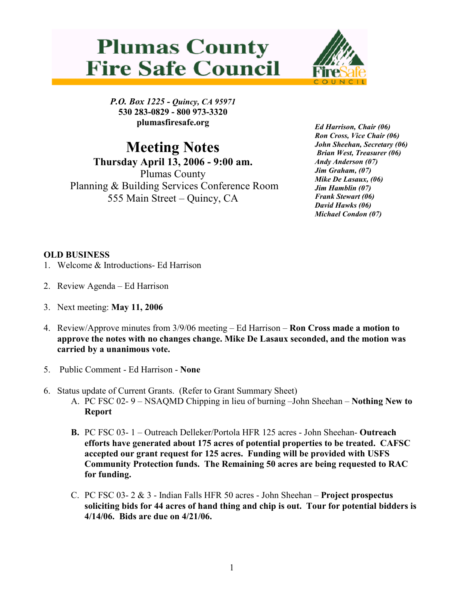



P.O. Box 1225 - Quincy, CA 95971 530 283-0829 - 800 973-3320 plumasfiresafe.org

Meeting Notes Thursday April 13, 2006 - 9:00 am. Plumas County Planning & Building Services Conference Room 555 Main Street – Quincy, CA

Ed Harrison, Chair (06) Ron Cross, Vice Chair (06) John Sheehan, Secretary (06) Brian West, Treasurer (06) Andy Anderson (07) Jim Graham, (07) Mike De Lasaux, (06) Jim Hamblin (07) Frank Stewart (06) David Hawks (06) Michael Condon (07)

## OLD BUSINESS

- 1. Welcome & Introductions- Ed Harrison
- 2. Review Agenda Ed Harrison
- 3. Next meeting: May 11, 2006
- 4. Review/Approve minutes from 3/9/06 meeting Ed Harrison Ron Cross made a motion to approve the notes with no changes change. Mike De Lasaux seconded, and the motion was carried by a unanimous vote.
- 5. Public Comment Ed Harrison None
- 6. Status update of Current Grants. (Refer to Grant Summary Sheet)
	- A. PC FSC 02- 9 NSAQMD Chipping in lieu of burning –John Sheehan Nothing New to Report
	- B. PC FSC 03- 1 Outreach Delleker/Portola HFR 125 acres John Sheehan- Outreach efforts have generated about 175 acres of potential properties to be treated. CAFSC accepted our grant request for 125 acres. Funding will be provided with USFS Community Protection funds. The Remaining 50 acres are being requested to RAC for funding.
	- C. PC FSC 03- 2 & 3 Indian Falls HFR 50 acres John Sheehan Project prospectus soliciting bids for 44 acres of hand thing and chip is out. Tour for potential bidders is 4/14/06. Bids are due on 4/21/06.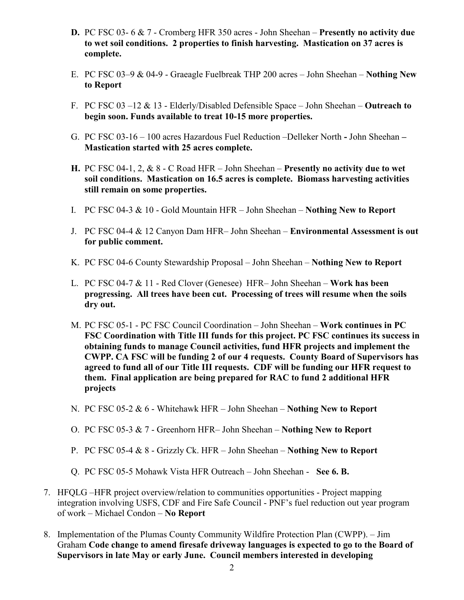- **D.** PC FSC 03- 6  $\&$  7 Cromberg HFR 350 acres John Sheehan **Presently no activity due** to wet soil conditions. 2 properties to finish harvesting. Mastication on 37 acres is complete.
- E. PC FSC 03–9 & 04-9 Graeagle Fuelbreak THP 200 acres John Sheehan Nothing New to Report
- F. PC FSC 03 –12  $& 13$  Elderly/Disabled Defensible Space John Sheehan Outreach to begin soon. Funds available to treat 10-15 more properties.
- G. PC FSC 03-16 100 acres Hazardous Fuel Reduction –Delleker North John Sheehan Mastication started with 25 acres complete.
- H. PC FSC 04-1, 2, & 8 C Road HFR John Sheehan Presently no activity due to wet soil conditions. Mastication on 16.5 acres is complete. Biomass harvesting activities still remain on some properties.
- I. PC FSC 04-3 & 10 Gold Mountain HFR John Sheehan Nothing New to Report
- J. PC FSC 04-4 & 12 Canyon Dam HFR– John Sheehan Environmental Assessment is out for public comment.
- K. PC FSC 04-6 County Stewardship Proposal John Sheehan Nothing New to Report
- L. PC FSC 04-7 & 11 Red Clover (Genesee) HFR– John Sheehan Work has been progressing. All trees have been cut. Processing of trees will resume when the soils dry out.
- M. PC FSC 05-1 PC FSC Council Coordination John Sheehan Work continues in PC FSC Coordination with Title III funds for this project. PC FSC continues its success in obtaining funds to manage Council activities, fund HFR projects and implement the CWPP. CA FSC will be funding 2 of our 4 requests. County Board of Supervisors has agreed to fund all of our Title III requests. CDF will be funding our HFR request to them. Final application are being prepared for RAC to fund 2 additional HFR projects
- N. PC FSC 05-2 & 6 Whitehawk HFR John Sheehan Nothing New to Report
- O. PC FSC 05-3 & 7 Greenhorn HFR– John Sheehan Nothing New to Report
- P. PC FSC 05-4 & 8 Grizzly Ck. HFR John Sheehan Nothing New to Report
- Q. PC FSC 05-5 Mohawk Vista HFR Outreach John Sheehan See 6. B.
- 7. HFQLG –HFR project overview/relation to communities opportunities Project mapping integration involving USFS, CDF and Fire Safe Council - PNF's fuel reduction out year program of work – Michael Condon – No Report
- 8. Implementation of the Plumas County Community Wildfire Protection Plan (CWPP). Jim Graham Code change to amend firesafe driveway languages is expected to go to the Board of Supervisors in late May or early June. Council members interested in developing